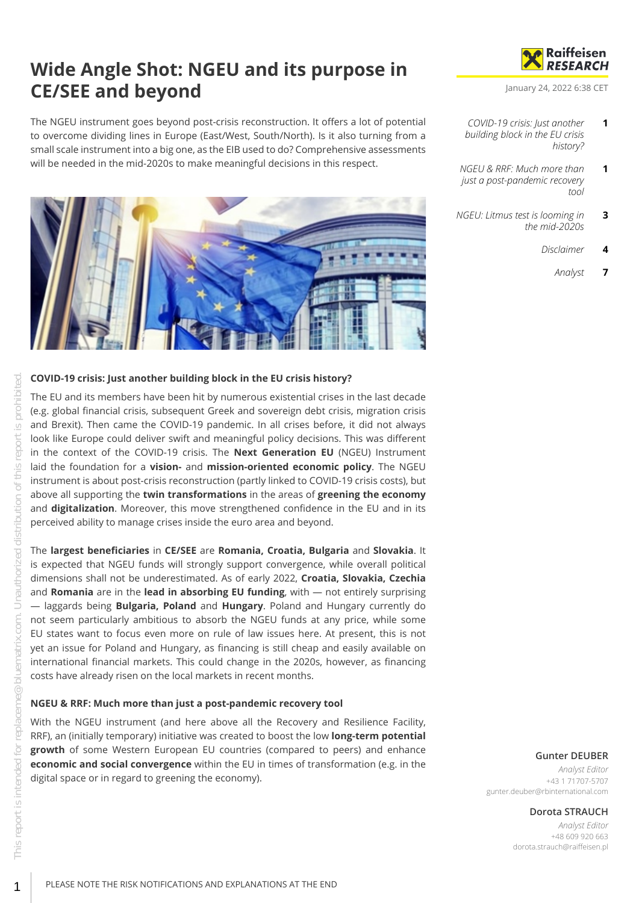# **Wide Angle Shot: NGEU and its purpose in CE/SEE and beyond**

The NGEU instrument goes beyond post-crisis reconstruction. It offers a lot of potential to overcome dividing lines in Europe (East/West, South/North). Is it also turning from a small scale instrument into a big one, as the EIB used to do? Comprehensive assessments will be needed in the mid-2020s to make meaningful decisions in this respect.



#### <span id="page-0-0"></span>**COVID-19 crisis: Just another building block in the EU crisis history?**

The EU and its members have been hit by numerous existential crises in the last decade (e.g. global financial crisis, subsequent Greek and sovereign debt crisis, migration crisis and Brexit). Then came the COVID-19 pandemic. In all crises before, it did not always look like Europe could deliver swift and meaningful policy decisions. This was different in the context of the COVID-19 crisis. The **Next Generation EU** (NGEU) Instrument laid the foundation for a **vision-** and **mission-oriented economic policy**. The NGEU instrument is about post-crisis reconstruction (partly linked to COVID-19 crisis costs), but above all supporting the **twin transformations** in the areas of **greening the economy** and **digitalization**. Moreover, this move strengthened confidence in the EU and in its perceived ability to manage crises inside the euro area and beyond.

The **largest beneficiaries** in **CE/SEE** are **Romania, Croatia, Bulgaria** and **Slovakia**. It is expected that NGEU funds will strongly support convergence, while overall political dimensions shall not be underestimated. As of early 2022, **Croatia, Slovakia, Czechia** and **Romania** are in the **lead in absorbing EU funding**, with — not entirely surprising — laggards being **Bulgaria, Poland** and **Hungary**. Poland and Hungary currently do not seem particularly ambitious to absorb the NGEU funds at any price, while some EU states want to focus even more on rule of law issues here. At present, this is not yet an issue for Poland and Hungary, as financing is still cheap and easily available on international financial markets. This could change in the 2020s, however, as financing costs have already risen on the local markets in recent months.

#### <span id="page-0-1"></span>**NGEU & RRF: Much more than just a post-pandemic recovery tool**

With the NGEU instrument (and here above all the Recovery and Resilience Facility, RRF), an (initially temporary) initiative was created to boost the low **long-term potential growth** of some Western European EU countries (compared to peers) and enhance **economic and social convergence** within the EU in times of transformation (e.g. in the digital space or in regard to greening the economy).



January 24, 2022 6:38 CET

- *[COVID-19 crisis: Just another](#page-0-0) [building block in the EU crisis](#page-0-0) [history?](#page-0-0)* **1**
- *[NGEU & RRF: Much more than](#page-0-1) [just a post-pandemic recovery](#page-0-1) [tool](#page-0-1)* **1**
- *[NGEU: Litmus test is looming in](#page-2-0) [the mid-2020s](#page-2-0)* **3**
	- *[Disclaimer](#page-3-0)* **4**
		- *[Analyst](#page-6-0)* **7**

#### **Gunter DEUBER**

*Analyst Editor* +43 1 71707-5707 gunter.deuber@rbinternational.com

#### **Dorota STRAUCH**

*Analyst Editor* +48 609 920 663 dorota.strauch@raiffeisen.pl

1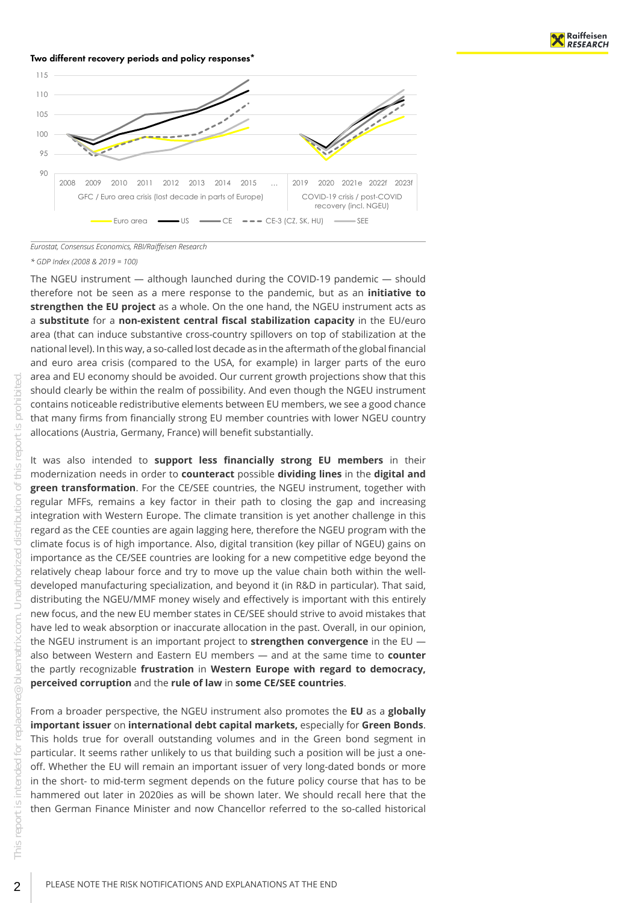Two different recovery periods and policy responses\*



*Eurostat, Consensus Economics, RBI/Raiffeisen Research*

*\* GDP Index (2008 & 2019 = 100)*

The NGEU instrument — although launched during the COVID-19 pandemic — should therefore not be seen as a mere response to the pandemic, but as an **initiative to strengthen the EU project** as a whole. On the one hand, the NGEU instrument acts as a **substitute** for a **non-existent central fiscal stabilization capacity** in the EU/euro area (that can induce substantive cross-country spillovers on top of stabilization at the national level). In this way, a so-called lost decade as in the aftermath of the global financial and euro area crisis (compared to the USA, for example) in larger parts of the euro area and EU economy should be avoided. Our current growth projections show that this should clearly be within the realm of possibility. And even though the NGEU instrument contains noticeable redistributive elements between EU members, we see a good chance that many firms from financially strong EU member countries with lower NGEU country allocations (Austria, Germany, France) will benefit substantially.

It was also intended to **support less financially strong EU members** in their modernization needs in order to **counteract** possible **dividing lines** in the **digital and green transformation**. For the CE/SEE countries, the NGEU instrument, together with regular MFFs, remains a key factor in their path to closing the gap and increasing integration with Western Europe. The climate transition is yet another challenge in this regard as the CEE counties are again lagging here, therefore the NGEU program with the climate focus is of high importance. Also, digital transition (key pillar of NGEU) gains on importance as the CE/SEE countries are looking for a new competitive edge beyond the relatively cheap labour force and try to move up the value chain both within the welldeveloped manufacturing specialization, and beyond it (in R&D in particular). That said, distributing the NGEU/MMF money wisely and effectively is important with this entirely new focus, and the new EU member states in CE/SEE should strive to avoid mistakes that have led to weak absorption or inaccurate allocation in the past. Overall, in our opinion, the NGEU instrument is an important project to **strengthen convergence** in the EU also between Western and Eastern EU members — and at the same time to **counter** the partly recognizable **frustration** in **Western Europe with regard to democracy, perceived corruption** and the **rule of law** in **some CE/SEE countries**.

From a broader perspective, the NGEU instrument also promotes the **EU** as a **globally important issuer** on **international debt capital markets,** especially for **Green Bonds**. This holds true for overall outstanding volumes and in the Green bond segment in particular. It seems rather unlikely to us that building such a position will be just a oneoff. Whether the EU will remain an important issuer of very long-dated bonds or more in the short- to mid-term segment depends on the future policy course that has to be hammered out later in 2020ies as will be shown later. We should recall here that the then German Finance Minister and now Chancellor referred to the so-called historical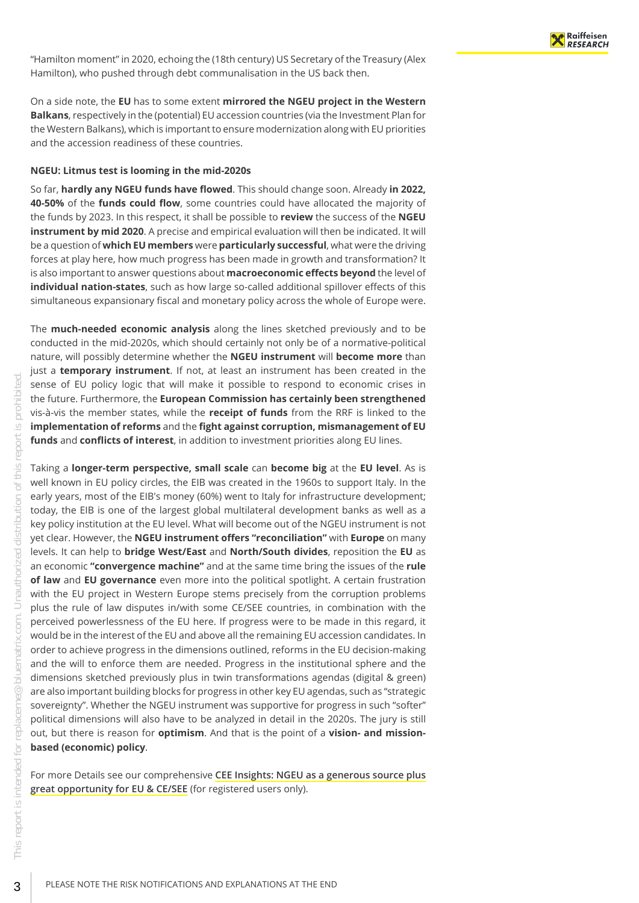"Hamilton moment" in 2020, echoing the (18th century) US Secretary of the Treasury (Alex Hamilton), who pushed through debt communalisation in the US back then.

On a side note, the **EU** has to some extent **mirrored the NGEU project in the Western Balkans**, respectively in the (potential) EU accession countries (via the Investment Plan for the Western Balkans), which is important to ensure modernization along with EU priorities and the accession readiness of these countries.

#### <span id="page-2-0"></span>**NGEU: Litmus test is looming in the mid-2020s**

So far, **hardly any NGEU funds have flowed**. This should change soon. Already **in 2022, 40-50%** of the **funds could flow**, some countries could have allocated the majority of the funds by 2023. In this respect, it shall be possible to **review** the success of the **NGEU instrument by mid 2020**. A precise and empirical evaluation will then be indicated. It will be a question of **which EU members** were **particularly successful**, what were the driving forces at play here, how much progress has been made in growth and transformation? It is also important to answer questions about **macroeconomic effects beyond** the level of **individual nation-states**, such as how large so-called additional spillover effects of this simultaneous expansionary fiscal and monetary policy across the whole of Europe were.

The **much-needed economic analysis** along the lines sketched previously and to be conducted in the mid-2020s, which should certainly not only be of a normative-political nature, will possibly determine whether the **NGEU instrument** will **become more** than just a **temporary instrument**. If not, at least an instrument has been created in the sense of EU policy logic that will make it possible to respond to economic crises in the future. Furthermore, the **European Commission has certainly been strengthened** vis-à-vis the member states, while the **receipt of funds** from the RRF is linked to the **implementation of reforms** and the **fight against corruption, mismanagement of EU funds** and **conflicts of interest**, in addition to investment priorities along EU lines.

Taking a **longer-term perspective, small scale** can **become big** at the **EU level**. As is well known in EU policy circles, the EIB was created in the 1960s to support Italy. In the early years, most of the EIB's money (60%) went to Italy for infrastructure development; today, the EIB is one of the largest global multilateral development banks as well as a key policy institution at the EU level. What will become out of the NGEU instrument is not yet clear. However, the **NGEU instrument offers "reconciliation"** with **Europe** on many levels. It can help to **bridge West/East** and **North/South divides**, reposition the **EU** as an economic **"convergence machine"** and at the same time bring the issues of the **rule of law** and **EU governance** even more into the political spotlight. A certain frustration with the EU project in Western Europe stems precisely from the corruption problems plus the rule of law disputes in/with some CE/SEE countries, in combination with the perceived powerlessness of the EU here. If progress were to be made in this regard, it would be in the interest of the EU and above all the remaining EU accession candidates. In order to achieve progress in the dimensions outlined, reforms in the EU decision-making and the will to enforce them are needed. Progress in the institutional sphere and the dimensions sketched previously plus in twin transformations agendas (digital & green) are also important building blocks for progress in other key EU agendas, such as "strategic sovereignty". Whether the NGEU instrument was supportive for progress in such "softer" political dimensions will also have to be analyzed in detail in the 2020s. The jury is still out, but there is reason for **optimism**. And that is the point of a **vision- and missionbased (economic) policy**.

For more Details see our comprehensive **[CEE Insights: NGEU as a generous source plus](https://raiffeisenresearch.bluematrix.com/docs/html/6bce4e11-f489-430d-b742-c5332e8d4a92.html) [great opportunity for EU & CE/SEE](https://raiffeisenresearch.bluematrix.com/docs/html/6bce4e11-f489-430d-b742-c5332e8d4a92.html)** (for registered users only).

 $\bigcirc$ 

 $\circ$ 

 $\frac{1}{2}$ ă

zed

com.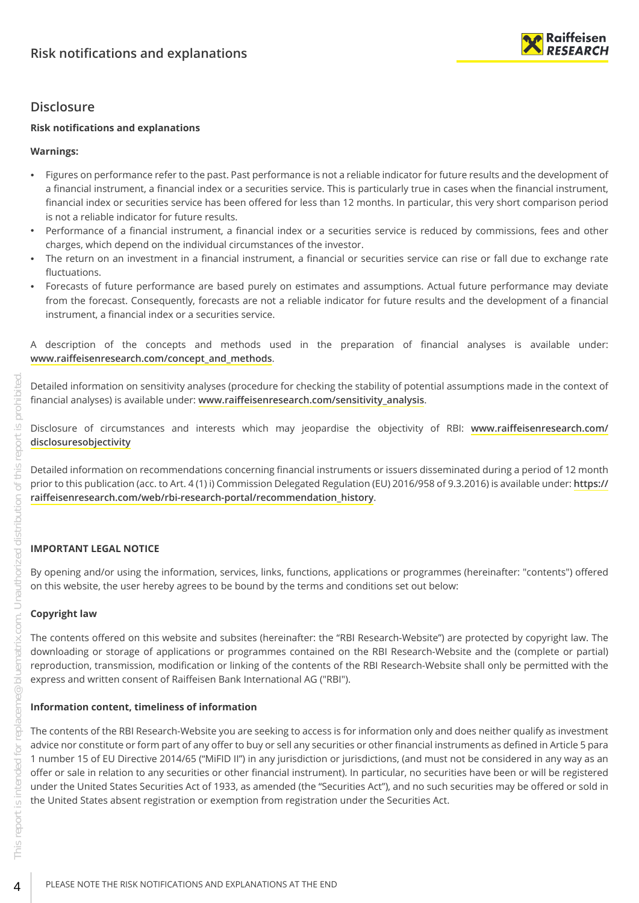

# <span id="page-3-0"></span>**Disclosure**

# **Risk notifications and explanations**

# **Warnings:**

- Figures on performance refer to the past. Past performance is not a reliable indicator for future results and the development of a financial instrument, a financial index or a securities service. This is particularly true in cases when the financial instrument, financial index or securities service has been offered for less than 12 months. In particular, this very short comparison period is not a reliable indicator for future results.
- Performance of a financial instrument, a financial index or a securities service is reduced by commissions, fees and other charges, which depend on the individual circumstances of the investor.
- The return on an investment in a financial instrument, a financial or securities service can rise or fall due to exchange rate fluctuations.
- Forecasts of future performance are based purely on estimates and assumptions. Actual future performance may deviate from the forecast. Consequently, forecasts are not a reliable indicator for future results and the development of a financial instrument, a financial index or a securities service.

A description of the concepts and methods used in the preparation of financial analyses is available under: **[www.raiffeisenresearch.com/concept\\_and\\_methods](https://www.raiffeisenresearch.com/concept_and_methods)**.

Detailed information on sensitivity analyses (procedure for checking the stability of potential assumptions made in the context of financial analyses) is available under: **[www.raiffeisenresearch.com/sensitivity\\_analysis](https://www.raiffeisenresearch.com/sensitivity_analysis)**.

Disclosure of circumstances and interests which may jeopardise the objectivity of RBI: **[www.raiffeisenresearch.com/](https://www.raiffeisenresearch.com/disclosuresobjectivity) [disclosuresobjectivity](https://www.raiffeisenresearch.com/disclosuresobjectivity)**

Detailed information on recommendations concerning financial instruments or issuers disseminated during a period of 12 month prior to this publication (acc. to Art. 4 (1) i) Commission Delegated Regulation (EU) 2016/958 of 9.3.2016) is available under: **[https://](https://raiffeisenresearch.com/web/rbi-research-portal/recommendation_history) [raiffeisenresearch.com/web/rbi-research-portal/recommendation\\_history](https://raiffeisenresearch.com/web/rbi-research-portal/recommendation_history)**.

# **IMPORTANT LEGAL NOTICE**

By opening and/or using the information, services, links, functions, applications or programmes (hereinafter: "contents") offered on this website, the user hereby agrees to be bound by the terms and conditions set out below:

# **Copyright law**

The contents offered on this website and subsites (hereinafter: the "RBI Research-Website") are protected by copyright law. The downloading or storage of applications or programmes contained on the RBI Research-Website and the (complete or partial) reproduction, transmission, modification or linking of the contents of the RBI Research-Website shall only be permitted with the express and written consent of Raiffeisen Bank International AG ("RBI").

# **Information content, timeliness of information**

The contents of the RBI Research-Website you are seeking to access is for information only and does neither qualify as investment advice nor constitute or form part of any offer to buy or sell any securities or other financial instruments as defined in Article 5 para 1 number 15 of EU Directive 2014/65 ("MiFID II") in any jurisdiction or jurisdictions, (and must not be considered in any way as an offer or sale in relation to any securities or other financial instrument). In particular, no securities have been or will be registered under the United States Securities Act of 1933, as amended (the "Securities Act"), and no such securities may be offered or sold in the United States absent registration or exemption from registration under the Securities Act.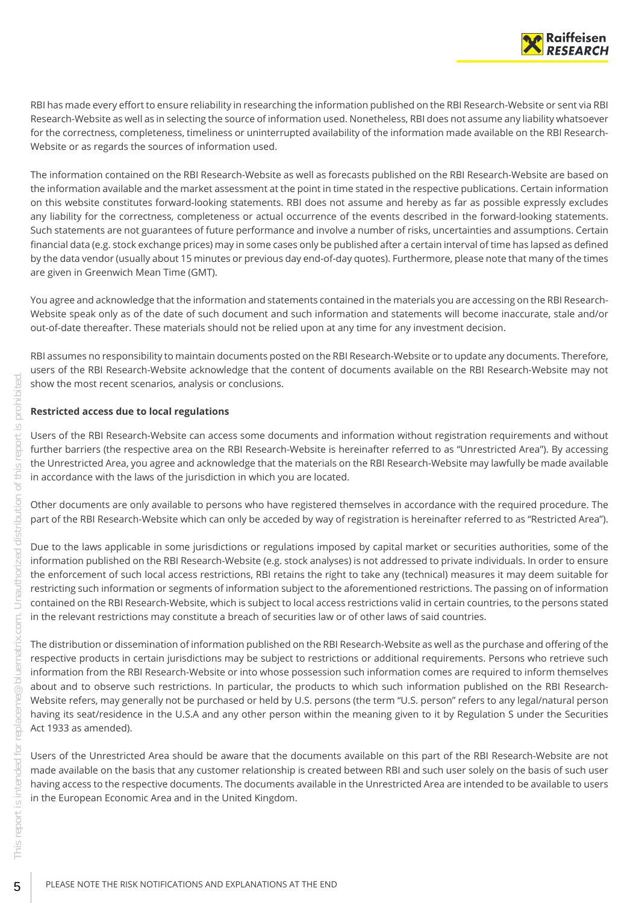

RBI has made every effort to ensure reliability in researching the information published on the RBI Research-Website or sent via RBI Research-Website as well as in selecting the source of information used. Nonetheless, RBI does not assume any liability whatsoever for the correctness, completeness, timeliness or uninterrupted availability of the information made available on the RBI Research-Website or as regards the sources of information used.

The information contained on the RBI Research-Website as well as forecasts published on the RBI Research-Website are based on the information available and the market assessment at the point in time stated in the respective publications. Certain information on this website constitutes forward-looking statements. RBI does not assume and hereby as far as possible expressly excludes any liability for the correctness, completeness or actual occurrence of the events described in the forward-looking statements. Such statements are not guarantees of future performance and involve a number of risks, uncertainties and assumptions. Certain financial data (e.g. stock exchange prices) may in some cases only be published after a certain interval of time has lapsed as defined by the data vendor (usually about 15 minutes or previous day end-of-day quotes). Furthermore, please note that many of the times are given in Greenwich Mean Time (GMT).

You agree and acknowledge that the information and statements contained in the materials you are accessing on the RBI Research-Website speak only as of the date of such document and such information and statements will become inaccurate, stale and/or out-of-date thereafter. These materials should not be relied upon at any time for any investment decision.

RBI assumes no responsibility to maintain documents posted on the RBI Research-Website or to update any documents. Therefore, users of the RBI Research-Website acknowledge that the content of documents available on the RBI Research-Website may not show the most recent scenarios, analysis or conclusions.

#### **Restricted access due to local regulations**

Users of the RBI Research-Website can access some documents and information without registration requirements and without further barriers (the respective area on the RBI Research-Website is hereinafter referred to as "Unrestricted Area"). By accessing the Unrestricted Area, you agree and acknowledge that the materials on the RBI Research-Website may lawfully be made available in accordance with the laws of the jurisdiction in which you are located.

Other documents are only available to persons who have registered themselves in accordance with the required procedure. The part of the RBI Research-Website which can only be acceded by way of registration is hereinafter referred to as "Restricted Area").

Due to the laws applicable in some jurisdictions or regulations imposed by capital market or securities authorities, some of the information published on the RBI Research-Website (e.g. stock analyses) is not addressed to private individuals. In order to ensure the enforcement of such local access restrictions, RBI retains the right to take any (technical) measures it may deem suitable for restricting such information or segments of information subject to the aforementioned restrictions. The passing on of information contained on the RBI Research-Website, which is subject to local access restrictions valid in certain countries, to the persons stated in the relevant restrictions may constitute a breach of securities law or of other laws of said countries.

The distribution or dissemination of information published on the RBI Research-Website as well as the purchase and offering of the respective products in certain jurisdictions may be subject to restrictions or additional requirements. Persons who retrieve such information from the RBI Research-Website or into whose possession such information comes are required to inform themselves about and to observe such restrictions. In particular, the products to which such information published on the RBI Research-Website refers, may generally not be purchased or held by U.S. persons (the term "U.S. person" refers to any legal/natural person having its seat/residence in the U.S.A and any other person within the meaning given to it by Regulation S under the Securities Act 1933 as amended).

Users of the Unrestricted Area should be aware that the documents available on this part of the RBI Research-Website are not made available on the basis that any customer relationship is created between RBI and such user solely on the basis of such user having access to the respective documents. The documents available in the Unrestricted Area are intended to be available to users in the European Economic Area and in the United Kingdom.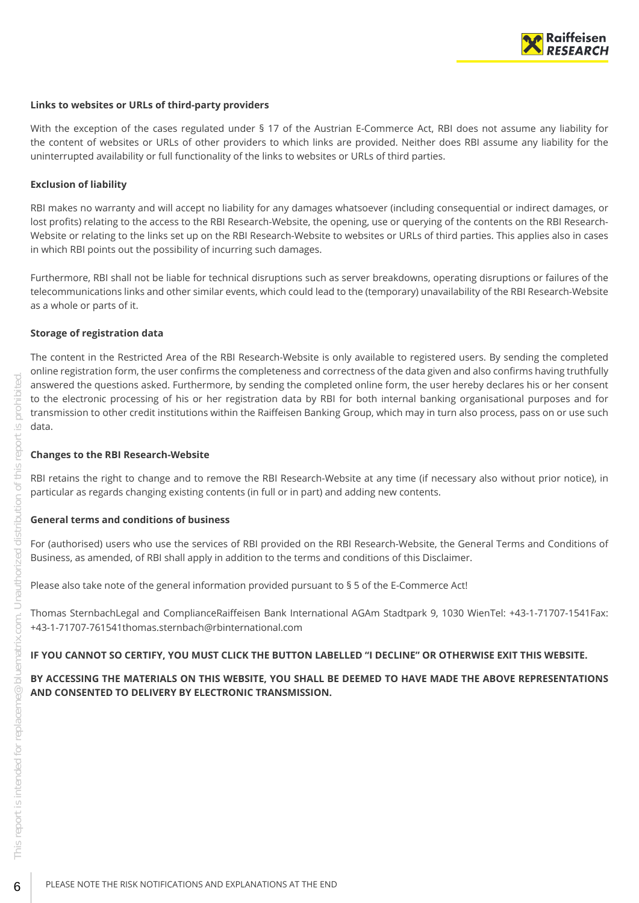

#### **Links to websites or URLs of third-party providers**

With the exception of the cases regulated under § 17 of the Austrian E-Commerce Act, RBI does not assume any liability for the content of websites or URLs of other providers to which links are provided. Neither does RBI assume any liability for the uninterrupted availability or full functionality of the links to websites or URLs of third parties.

#### **Exclusion of liability**

RBI makes no warranty and will accept no liability for any damages whatsoever (including consequential or indirect damages, or lost profits) relating to the access to the RBI Research-Website, the opening, use or querying of the contents on the RBI Research-Website or relating to the links set up on the RBI Research-Website to websites or URLs of third parties. This applies also in cases in which RBI points out the possibility of incurring such damages.

Furthermore, RBI shall not be liable for technical disruptions such as server breakdowns, operating disruptions or failures of the telecommunications links and other similar events, which could lead to the (temporary) unavailability of the RBI Research-Website as a whole or parts of it.

#### **Storage of registration data**

The content in the Restricted Area of the RBI Research-Website is only available to registered users. By sending the completed online registration form, the user confirms the completeness and correctness of the data given and also confirms having truthfully answered the questions asked. Furthermore, by sending the completed online form, the user hereby declares his or her consent to the electronic processing of his or her registration data by RBI for both internal banking organisational purposes and for transmission to other credit institutions within the Raiffeisen Banking Group, which may in turn also process, pass on or use such data.

#### **Changes to the RBI Research-Website**

RBI retains the right to change and to remove the RBI Research-Website at any time (if necessary also without prior notice), in particular as regards changing existing contents (in full or in part) and adding new contents.

#### **General terms and conditions of business**

For (authorised) users who use the services of RBI provided on the RBI Research-Website, the General Terms and Conditions of Business, as amended, of RBI shall apply in addition to the terms and conditions of this Disclaimer.

Please also take note of the general information provided pursuant to § 5 of the E-Commerce Act!

Thomas SternbachLegal and ComplianceRaiffeisen Bank International AGAm Stadtpark 9, 1030 WienTel: +43-1-71707-1541Fax: +43-1-71707-761541thomas.sternbach@rbinternational.com

#### **IF YOU CANNOT SO CERTIFY, YOU MUST CLICK THE BUTTON LABELLED "I DECLINE" OR OTHERWISE EXIT THIS WEBSITE.**

## **BY ACCESSING THE MATERIALS ON THIS WEBSITE, YOU SHALL BE DEEMED TO HAVE MADE THE ABOVE REPRESENTATIONS AND CONSENTED TO DELIVERY BY ELECTRONIC TRANSMISSION.**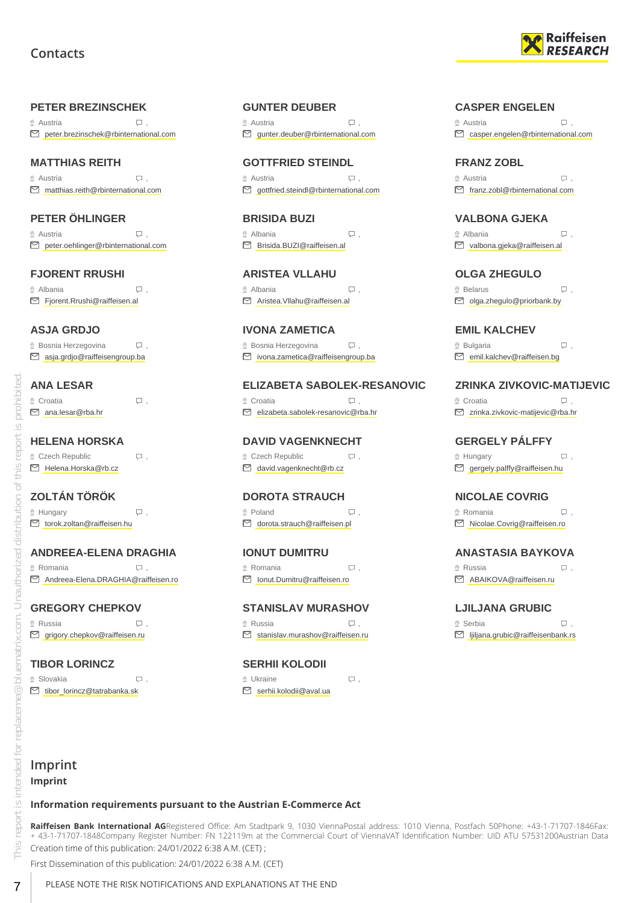# **Contacts**

#### <span id="page-6-0"></span>**PETER BREZINSCHEK**

 $\Omega$  Austria  $\Box$ peter.brezinschek@rbinternational.com

## **MATTHIAS REITH**

 $\Omega$  Austria  $\Box$ matthias.reith@rbinternational.com

# **PETER ÖHLINGER**

 Austria , peter.oehlinger@rbinternational.com

# **FJORENT RRUSHI**

 $\circ$  Albania  $\qquad \qquad \Box$ Fjorent.Rrushi@raiffeisen.al

## **ASJA GRDJO**

 $\Omega$  Bosnia Herzegovina  $\Box$ asja.grdjo@raiffeisengroup.ba

## **ANA LESAR**

 $\mathcal{Q}$  Croatia  $\Box$ , ana.lesar@rba.hr

**HELENA HORSKA** ® Czech Republic  $□$ ,

Helena.Horska@rb.cz

# **ZOLTÁN TÖRÖK**

 $\mathcal{Q}$  Hungary  $\Box$ torok.zoltan@raiffeisen.hu

# **ANDREEA-ELENA DRAGHIA**

® Romania , Q . Andreea-Elena.DRAGHIA@raiffeisen.ro

# **GREGORY CHEPKOV**

 $\circ$  Russia  $\Box$ □ grigory.chepkov@raiffeisen.ru

# **TIBOR LORINCZ**

 Slovakia , tibor\_lorincz@tatrabanka.sk

### **GUNTER DEUBER**

 $\Omega$  Austria ,  $\Omega$ gunter.deuber@rbinternational.com

**GOTTFRIED STEINDL**  $\Omega$  Austria  $\Box$ ■ gottfried.steindl@rbinternational.com

**BRISIDA BUZI**  $\circ$  Albania  $\qquad \qquad \Box$ Brisida.BUZI@raiffeisen.al

**ARISTEA VLLAHU** Albania , Aristea.Vllahu@raiffeisen.al

**IVONA ZAMETICA**  $\Omega$  Bosnia Herzegovina  $\Box$ ivona.zametica@raiffeisengroup.ba

#### **ELIZABETA SABOLEK-RESANOVIC** Croatia , elizabeta.sabolek-resanovic@rba.hr

**DAVID VAGENKNECHT**  $Q$  Czech Republic  $Q$ david.vagenknecht@rb.cz

**DOROTA STRAUCH**  $\Omega$  Poland  $\Omega$ . dorota.strauch@raiffeisen.pl

**IONUT DUMITRU** ® Romania , Q . Ionut.Dumitru@raiffeisen.ro

**STANISLAV MURASHOV**  $\circ$  Russia ,  $\Box$ S stanislav.murashov@raiffeisen.ru

# **SERHII KOLODII**

 Ukraine , S serhii.kolodii@aval.ua



#### **CASPER ENGELEN**

 $\Omega$  Austria  $\Box$ casper.engelen@rbinternational.com

**FRANZ ZOBL**  $\Omega$  Austria  $\Box$ franz.zobl@rbinternational.com

**VALBONA GJEKA** Albania , valbona.gjeka@raiffeisen.al

**OLGA ZHEGULO** ® Belarus (D),

 $\Box$  olga.zhegulo@priorbank.by

**EMIL KALCHEV**  $\Omega$  Bulgaria  $\Box$ , emil.kalchev@raiffeisen.bg

# **ZRINKA ZIVKOVIC-MATIJEVIC** ® Croatia , D

zrinka.zivkovic-matijevic@rba.hr

**GERGELY PÁLFFY**  $\mathcal{Q}$  Hungary  $\qquad \qquad \Box$ gergely.palffy@raiffeisen.hu

**NICOLAE COVRIG**  $\Omega$  Romania  $\Box$ Nicolae.Covrig@raiffeisen.ro

# **ANASTASIA BAYKOVA**

® Russia , Q . ABAIKOVA@raiffeisen.ru

**LJILJANA GRUBIC** © Serbia , Quanto D ljiljana.grubic@raiffeisenbank.rs

# **Imprint**

# **Imprint**

#### **Information requirements pursuant to the Austrian E-Commerce Act**

Creation time of this publication: 24/01/2022 6:38 A.M. (CET) ; **Raiffeisen Bank International AG**Registered Office: Am Stadtpark 9, 1030 ViennaPostal address: 1010 Vienna, Postfach 50Phone: +43-1-71707-1846Fax: + 43-1-71707-1848Company Register Number: FN 122119m at the Commercial Court of ViennaVAT Identification Number: UID ATU 57531200Austrian Data

First Dissemination of this publication: 24/01/2022 6:38 A.M. (CET)

This

This report is intended for replaceme@bluematrix.com. Unauthorized distribution of this report is prohibited.

COM

intended for replaceme@bluematri

 $\overline{\underline{\smile}}$ report

prohibi  $\cup$ Thone<sup>.</sup>

his

E ilouti

zed thoriz